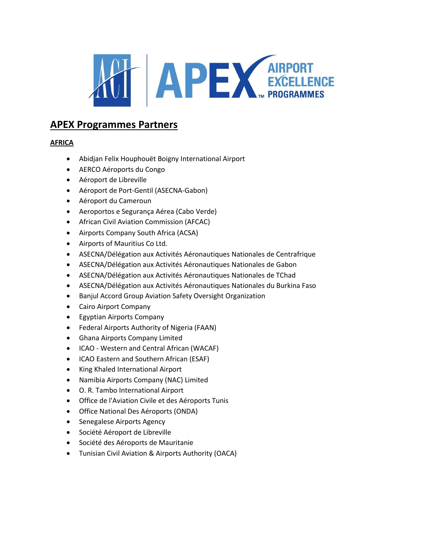

# **APEX Programmes Partners**

# **AFRICA**

- Abidjan Felix Houphouët Boigny International Airport
- AERCO Aéroports du Congo
- Aéroport de Libreville
- Aéroport de Port-Gentil (ASECNA-Gabon)
- Aéroport du Cameroun
- Aeroportos e Segurança Aérea (Cabo Verde)
- African Civil Aviation Commission (AFCAC)
- Airports Company South Africa (ACSA)
- Airports of Mauritius Co Ltd.
- ASECNA/Délégation aux Activités Aéronautiques Nationales de Centrafrique
- ASECNA/Délégation aux Activités Aéronautiques Nationales de Gabon
- ASECNA/Délégation aux Activités Aéronautiques Nationales de TChad
- ASECNA/Délégation aux Activités Aéronautiques Nationales du Burkina Faso
- Banjul Accord Group Aviation Safety Oversight Organization
- Cairo Airport Company
- Egyptian Airports Company
- Federal Airports Authority of Nigeria (FAAN)
- Ghana Airports Company Limited
- ICAO Western and Central African (WACAF)
- ICAO Eastern and Southern African (ESAF)
- King Khaled International Airport
- Namibia Airports Company (NAC) Limited
- O. R. Tambo International Airport
- Office de l'Aviation Civile et des Aéroports Tunis
- Office National Des Aéroports (ONDA)
- Senegalese Airports Agency
- Société Aéroport de Libreville
- Société des Aéroports de Mauritanie
- Tunisian Civil Aviation & Airports Authority (OACA)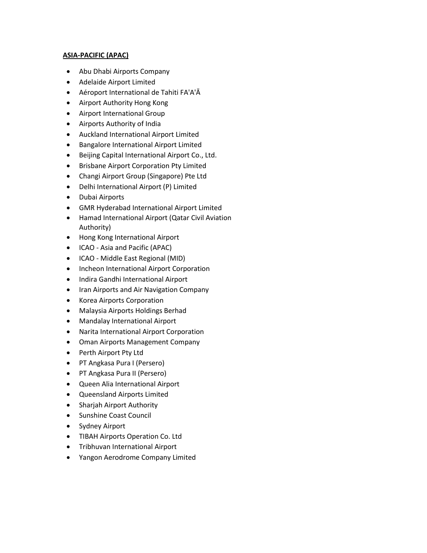## **ASIA-PACIFIC (APAC)**

- Abu Dhabi Airports Company
- Adelaide Airport Limited
- Aéroport International de Tahiti FA'A'Ā
- Airport Authority Hong Kong
- Airport International Group
- Airports Authority of India
- Auckland International Airport Limited
- Bangalore International Airport Limited
- Beijing Capital International Airport Co., Ltd.
- Brisbane Airport Corporation Pty Limited
- Changi Airport Group (Singapore) Pte Ltd
- Delhi International Airport (P) Limited
- Dubai Airports
- GMR Hyderabad International Airport Limited
- Hamad International Airport (Qatar Civil Aviation Authority)
- Hong Kong International Airport
- ICAO Asia and Pacific (APAC)
- ICAO Middle East Regional (MID)
- Incheon International Airport Corporation
- Indira Gandhi International Airport
- Iran Airports and Air Navigation Company
- Korea Airports Corporation
- Malaysia Airports Holdings Berhad
- Mandalay International Airport
- Narita International Airport Corporation
- Oman Airports Management Company
- Perth Airport Pty Ltd
- PT Angkasa Pura I (Persero)
- PT Angkasa Pura II (Persero)
- Queen Alia International Airport
- Queensland Airports Limited
- Sharjah Airport Authority
- Sunshine Coast Council
- Sydney Airport
- TIBAH Airports Operation Co. Ltd
- Tribhuvan International Airport
- Yangon Aerodrome Company Limited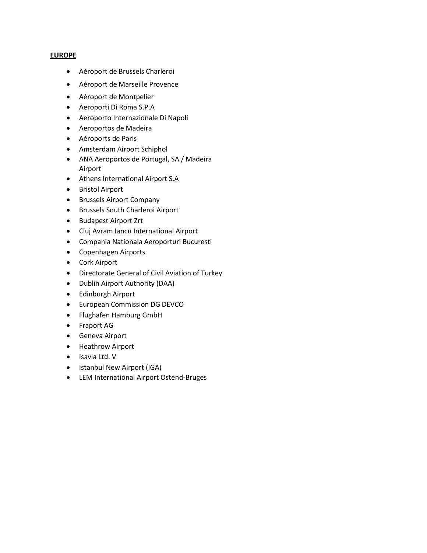#### **EUROPE**

- Aéroport de Brussels Charleroi
- Aéroport de Marseille Provence
- Aéroport de Montpelier
- Aeroporti Di Roma S.P.A
- Aeroporto Internazionale Di Napoli
- Aeroportos de Madeira
- Aéroports de Paris
- Amsterdam Airport Schiphol
- ANA Aeroportos de Portugal, SA / Madeira Airport
- Athens International Airport S.A
- Bristol Airport
- Brussels Airport Company
- Brussels South Charleroi Airport
- Budapest Airport Zrt
- Cluj Avram Iancu International Airport
- Compania Nationala Aeroporturi Bucuresti
- Copenhagen Airports
- Cork Airport
- Directorate General of Civil Aviation of Turkey
- Dublin Airport Authority (DAA)
- Edinburgh Airport
- European Commission DG DEVCO
- Flughafen Hamburg GmbH
- Fraport AG
- Geneva Airport
- Heathrow Airport
- Isavia Ltd. V
- Istanbul New Airport (IGA)
- LEM International Airport Ostend-Bruges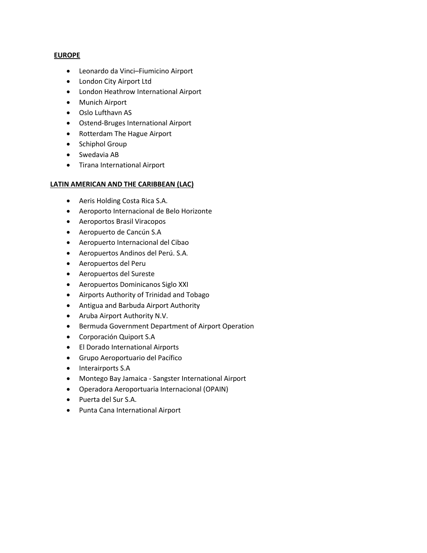#### **EUROPE**

- Leonardo da Vinci–Fiumicino Airport
- London City Airport Ltd
- London Heathrow International Airport
- Munich Airport
- Oslo Lufthavn AS
- Ostend-Bruges International Airport
- Rotterdam The Hague Airport
- Schiphol Group
- Swedavia AB
- Tirana International Airport

## **LATIN AMERICAN AND THE CARIBBEAN (LAC)**

- Aeris Holding Costa Rica S.A.
- Aeroporto Internacional de Belo Horizonte
- Aeroportos Brasil Viracopos
- Aeropuerto de Cancún S.A
- Aeropuerto Internacional del Cibao
- Aeropuertos Andinos del Perú. S.A.
- Aeropuertos del Peru
- Aeropuertos del Sureste
- Aeropuertos Dominicanos Siglo XXI
- Airports Authority of Trinidad and Tobago
- Antigua and Barbuda Airport Authority
- Aruba Airport Authority N.V.
- Bermuda Government Department of Airport Operation
- Corporación Quiport S.A
- El Dorado International Airports
- Grupo Aeroportuario del Pacífico
- Interairports S.A
- Montego Bay Jamaica Sangster International Airport
- Operadora Aeroportuaria Internacional (OPAIN)
- Puerta del Sur S.A.
- Punta Cana International Airport